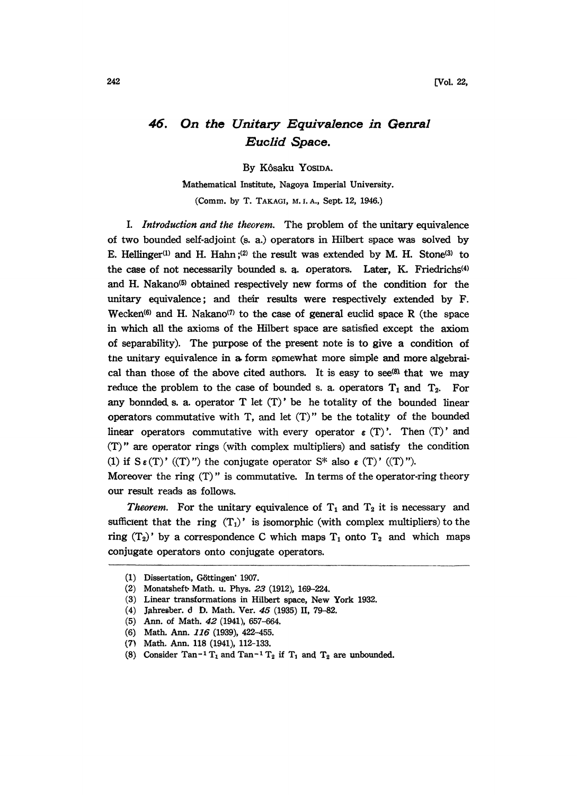## 46. On the Unitary Equivalence in Genral Euclid Space.

By K6saku YOSIDA.

Mathematical Institute, Nagoya Imperial University. (Comm. by T. TAKAGI, M. I. A., Sept. 12, 1946.)

I. Introduction and the theorem. The problem of the unitary equivalence of two bounded selfadjoint (s. a.) operators in Hilbert space was solved by E. Hellinger<sup>(1)</sup> and H. Hahn;<sup>(2)</sup> the result was extended by M. H. Stone<sup>(3)</sup> to the case of not necessarily bounded s. a. operators. Later, K. Friedrichs<sup>(4)</sup> and H. Nakano<sup>(5)</sup> obtained respectively new forms of the condition for the unitary equivalence; and their results were respectively extended by  $F$ . Wecken<sup> $(6)$ </sup> and H. Nakano<sup> $(7)$ </sup> to the case of general euclid space R (the space in which all the axioms of the Hilbert space are satisfied except the axiom of separability). The purpose of the present note is to give a condition of the unitary equivalence in a form somewhat more simple and more algebraical than those of the above cited authors. It is easy to see<sup>(8)</sup> that we may reduce the problem to the case of bounded s. a. operators  $T_1$  and  $T_2$ . For any bonnded s. a. operator  $T$  let  $(T)'$  be he totality of the bounded linear operators commutative with T, and let (T)" be the totality of the bounded linear operators commutative with every operator  $\epsilon$  (T)'. Then (T)' and (T)" are operator rings (with complex multipliers) and satisfy the condition (1) if  $S \in (T)'$  ((T)") the conjugate operator  $S^*$  also  $\in (T)'$  ((T)").

Moreover the ring  $(T)$ " is commutative. In terms of the operator-ring theory our result reads as follows.

*Theorem.* For the unitary equivalence of  $T_1$  and  $T_2$  it is necessary and sufficient that the ring  $(T_1)$ ' is isomorphic (with complex multipliers) to the ring  $(T_2)'$  by a correspondence C which maps  $T_1$  onto  $T_2$  and which maps conjugate operators onto conjugate operators.

<sup>(</sup>I) Dissertation, G6ttingen' 1907.

<sup>(2)</sup> Monatsheft. Math. u. Phys. 23 (1912), 169-224.

<sup>(3)</sup> Linear transformations in Hilbert space, New York 1932.

<sup>(4)</sup> Jahresber. d D. Math. Vet. 45 (1935) If, 79-82.

<sup>(5)</sup> Ann. of Math. 42 (1941), 657-664.

<sup>(6)</sup> Math. Ann. 116 (1939), 422-455.

<sup>(7)</sup> Math. Ann. 118 (1941), 112-133.

<sup>(8)</sup> Consider Tan<sup>-1</sup> T<sub>1</sub> and Tan<sup>-1</sup> T<sub>2</sub> if T<sub>1</sub> and T<sub>2</sub> are unbounded.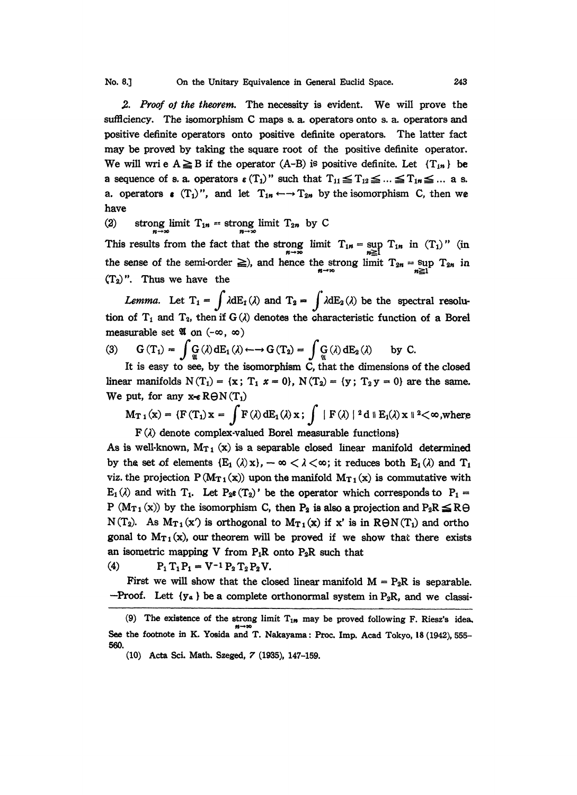No. 8.] On the Unitary Equivalence in General Euclid Space. 243

2. Proof of the theorem. The necessity is evident. We will prove the sufficiency. The isomorphism C maps s. a. operators onto s. a. operators and positive definite operators onto positive definite operators. The latter fact may be proved by taking the square root of the positive definite operator. We will wri e  $A \geq B$  if the operator  $(A-B)$  is positive definite. Let  ${T_{in}}$  be a sequence of s. a. operators  $\epsilon(T_1)$ " such that  $T_{11} \le T_{12} \le ... \le T_{1n} \le ...$  a s. a. operators  $\bullet$  (T<sub>1</sub>)", and let  $T_{1n} \leftarrow T_{2n}$  by the isomorphism C, then we have

(2) strong limit  $T_{1n} =$  strong limit  $T_{2n}$  by C

This results from the fact that the strong limit  $T_{1n} = \sup_{n \geq 1} T_{1n}$  in  $(T_1)$ " (in the sense of the semi-order  $\geq$ ), and hence the strong limit  $T_{2n} = \sup_{n \geq 1} T_{2n}$  in  $(T_2)$ ". Thus we have the

Lemma. Let  $T_1 = \int \lambda dE_1(\lambda)$  and  $T_2 = \int \lambda dE_2(\lambda)$  be the spectral resolution of  $T_1$  and  $T_2$ , then if  $G(\lambda)$  denotes the characteristic function of a Borel measurable set  $\mathfrak A$  on  $(-\infty, \infty)$ 

(3) 
$$
G(T_1) = \int \mathcal{G}(\lambda) dE_1(\lambda) \leftarrow \rightarrow G(T_2) = \int \mathcal{G}(\lambda) dE_2(\lambda) \text{ by } C.
$$
  
It is easy to see by the isomorphism C, that the dimensions a

It is easy to see, by the isomorphism C, that the dimensions of the closed linear manifolds  $N(T_1) = \{x; T_1 \ x = 0\}$ ,  $N(T_2) = \{y; T_2 \ y = 0\}$  are the same. We put, for any  $x \in R\Theta N(T_1)$ 

$$
M_{T_1}(x) = \{F(T_1)x = \int F(\lambda) dE_1(\lambda) x; \int |F(\lambda)|^2 d \parallel E_1(\lambda) x \parallel^2 < \infty, \text{where } F(\lambda) \text{ denote complex-valued Borel measurable functions} \}
$$

As is well-known,  $M_{T_1}(x)$  is a separable closed linear manifold determined by the set of elements  $(E_1(\lambda)x)$ ,  $-\infty < \lambda < \infty$ ; it reduces both  $E_1(\lambda)$  and  $T_1$ viz. the projection  $P(M_{T_1}(x))$  upon the manifold  $M_{T_1}(x)$  is commutative with  $E_1(\lambda)$  and with  $T_1$ . Let  $P_2 \epsilon(T_2)'$  be the operator which corresponds to  $P_1 =$ P ( $Mr_1(x)$ ) by the isomorphism C, then P<sub>2</sub> is also a projection and P<sub>2</sub>R  $\leq$  R $\ominus$  $N(T_2)$ . As  $M_{T_1}(x')$  is orthogonal to  $M_{T_1}(x)$  if x' is in  $R\Theta N(T_1)$  and ortho gonal to  $M_{T1}(x)$ , our theorem will be proved if we show that there exists an isometric mapping V from  $P_1R$  onto  $P_2R$  such that<br>
(4)  $P_1 T_1 P_1 = V^{-1} P_2 T_2 P_2 V$ .

First we will show that the closed linear manifold  $M = P_2R$  is separable. --Proof. Lett  $\{y_a\}$  be a complete orthonormal system in P<sub>2</sub>R, and we classi-

<sup>(9)</sup> The existence of the strong limit  $T_{1n}$  may be proved following F. Riesz's idea, See the footnote in K. Yosida and T. Nakayama: Proc. Imp. Acad Tokyo, 18 (1942), 555-560.

<sup>(10)</sup> Acta Sci. Math. Szeged, 7 (1935), 147-159.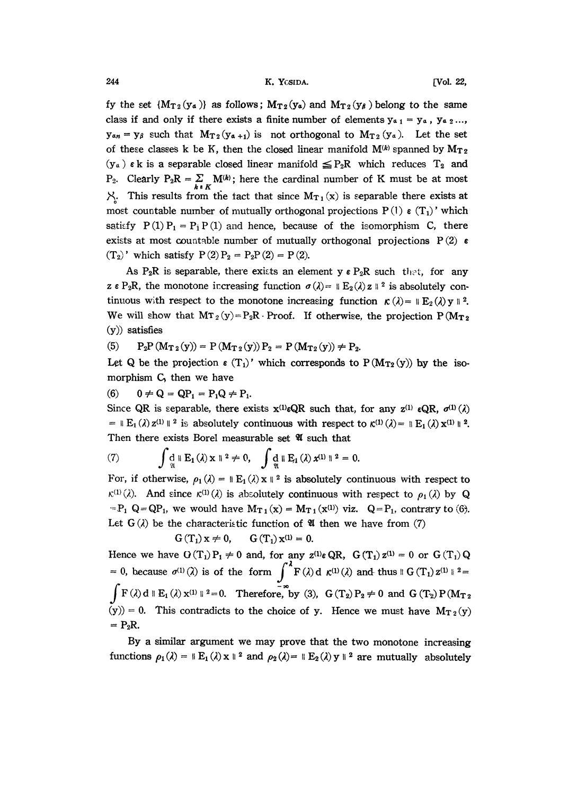244 K. YGSIDA. [Vol. 22,

fy the set  $(M_{T2}(y_a))$  as follows;  $M_{T2}(y_a)$  and  $M_{T2}(y_b)$  belong to the same class if and only if there exists a finite number of elements  $y_{41} = y_4$ ,  $y_{42}...$  $y_{a_n} = y_{\beta}$  such that  $M_{T_2}(y_{a+1})$  is not orthogonal to  $M_{T_2}(y_a)$ . Let the set of these classes k be K, then the closed linear manifold  $M^{(k)}$  spanned by  $M_{T2}$  $(y_a)$   $\epsilon$  k is a separable closed linear manifold  $\leq P_2R$  which reduces  $T_2$  and  $P_2$ . Clearly  $P_2R = \sum_{k \in K} M^{(k)}$ ; here the cardinal number of K must be at most  $\mathcal{X}$ . This results from the fact that since  $M_{T_1}(x)$  is separable there exists at most countable number of mutually orthogonal projections  $P(1) \in (T_1)'$  which satisfy  $P(1)P_1 = P_1P(1)$  and hence, because of the isomorphism C, there exists at most countable number of mutually orthogonal projections  $P(2) \in$  $(T_2)'$  which satisfy  $P(2)P_2 = P_2P(2) = P(2)$ .

As P<sub>2</sub>R is separable, there exists an element y  $\epsilon$  P<sub>2</sub>R such that, for any  $z \in P_2R$ , the monotone increasing function  $\sigma(\lambda) = \|E_2(\lambda)z\|^2$  is absolutely continuous with respect to the monotone increasing function  $\kappa(\lambda) = \mathbb{E}_2(\lambda) y \ge 2$ . We will show that  $MT_2(y)=P_2R\cdot Proof.$  If otherwise, the projection  $P(M_{T_2}$ (y)) satisfies

(5)  $P_2P(M_{T_2}(y)) = P(M_{T_2}(y)) P_2 = P(M_{T_2}(y)) \neq P_2.$ 

Let Q be the projection  $\epsilon(T_1)'$  which corresponds to P (M $T_2(y)$ ) by the isomorphism C, then we have

(6)  $0 \neq Q = QP_1 = P_1Q \neq P_1$ .

Since QR is separable, there exists  $x^{(1)} \in QR$  such that, for any  $z^{(1)} \in QR$ ,  $\sigma^{(1)}(\lambda)$ =  $\mathbb{E}_1(\lambda) z^{(1)} \mathbb{I}^2$  is absolutely continuous with respect to  $\kappa^{(1)}(\lambda) = \mathbb{E}_1(\lambda) x^{(1)} \mathbb{I}^2$ . Then there exists Borel measurable set  $\mathfrak A$  such that

(7) 
$$
\int \mathop{\rm d}_{\mathfrak A} \, \mathbb{I} \, E_1(\lambda) \, x \, \mathbb{I}^2 \neq 0, \quad \int \mathop{\rm d}_{\mathfrak A} \, \mathbb{I} \, E_1(\lambda) \, x^{(1)} \, \mathbb{I}^2 = 0.
$$

For, if otherwise,  $\rho_1(\lambda) = ||E_1(\lambda) \times ||^2$  is absolutely continuous with respect to  $\kappa^{(1)}(\lambda)$ . And since  $\kappa^{(1)}(\lambda)$  is absolutely continuous with respect to  $\rho_1(\lambda)$  by Q  $=P_1$  Q=QP<sub>1</sub>, we would have M<sub>T<sub>1</sub></sub>(x) = M<sub>T<sub>1</sub></sub>(x<sup>(1)</sup>) viz. Q=P<sub>1</sub>, contrary to (6). Let  $G(\lambda)$  be the characteristic function of **U** then we have from (7)

$$
G(T_1) x \neq 0, \qquad G(T_1) x^{(1)} = 0.
$$

Hence we have  $O(T_1)P_1 \neq 0$  and, for any  $z^{(1)} \in QR$ ,  $G(T_1)z^{(1)} = 0$  or  $G(T_1)Q$ 0, because  $\sigma^{(1)}(\lambda)$  is of the form  $\int_{0}^{\lambda} F(\lambda) d \kappa^{(1)}(\lambda)$  and thus 6 (T<sub>1</sub>)  $\sigma^{(1)}$  $F(\lambda) d \parallel E_1(\lambda) x^{(1)} \parallel^2 = 0$ . Therefore, by (3),  $G(T_2) P_2 \neq 0$  and  $G(T_2) P(M_T)$  $(y)$  = 0. This contradicts to the choice of y. Hence we must have  $M_{T_2}(y)$  = P<sub>2</sub>R.

By a similar argument we may prove that the two monotone increasing functions  $\rho_1(\lambda) = \mathbb{E}_1(\lambda) \times \mathbb{E}_2(\lambda) = \mathbb{E}_2(\lambda) \times \mathbb{E}_2(\lambda)$  are mutually absolutely